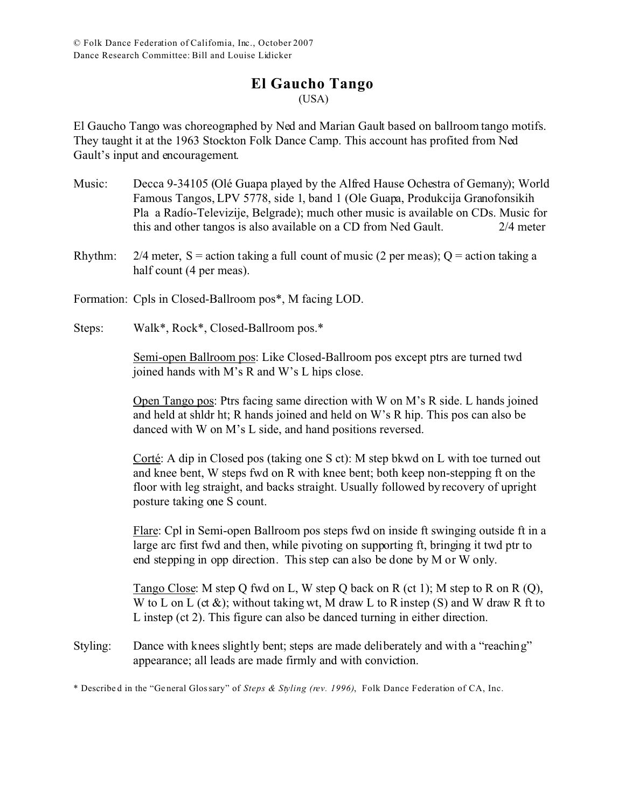# **El Gaucho Tango**

(USA)

El Gaucho Tango was choreographed by Ned and Marian Gault based on ballroom tango motifs. They taught it at the 1963 Stockton Folk Dance Camp. This account has profited from Ned Gault's input and encouragement.

- Music: Decca 9-34105 (Olé Guapa played by the Alfred Hause Ochestra of Gemany); World Famous Tangos, LPV 5778, side 1, band 1 (Ole Guapa, Produkcija Granofonsikih Pla a Radío-Televizije, Belgrade); much other music is available on CDs. Music for this and other tangos is also available on a CD from Ned Gault. 2/4 meter
- Rhythm:  $2/4$  meter, S = action taking a full count of music (2 per meas); Q = action taking a half count (4 per meas).
- Formation: Cpls in Closed-Ballroom pos\*, M facing LOD.
- Steps: Walk\*, Rock\*, Closed-Ballroom pos.\*

Semi-open Ballroom pos: Like Closed-Ballroom pos except ptrs are turned twd joined hands with M's R and W's L hips close.

Open Tango pos: Ptrs facing same direction with W on M's R side. L hands joined and held at shldr ht; R hands joined and held on W's R hip. This pos can also be danced with W on M's L side, and hand positions reversed.

Corté: A dip in Closed pos (taking one S ct): M step bkwd on L with toe turned out and knee bent, W steps fwd on R with knee bent; both keep non-stepping ft on the floor with leg straight, and backs straight. Usually followed by recovery of upright posture taking one S count.

Flare: Cpl in Semi-open Ballroom pos steps fwd on inside ft swinging outside ft in a large arc first fwd and then, while pivoting on supporting ft, bringing it twd ptr to end stepping in opp direction. This step can also be done by M or W only.

Tango Close: M step Q fwd on L, W step Q back on R (ct 1); M step to R on R (Q), W to L on L (ct  $\&$ ); without taking wt, M draw L to R instep (S) and W draw R ft to L instep (ct 2). This figure can also be danced turning in either direction.

Styling: Dance with knees slightly bent; steps are made deliberately and with a "reaching" appearance; all leads are made firmly and with conviction.

\* Describe d in the "Ge neral Glossary" of *Steps & Styling (rev. 1996)*, Folk Dance Federation of CA, Inc.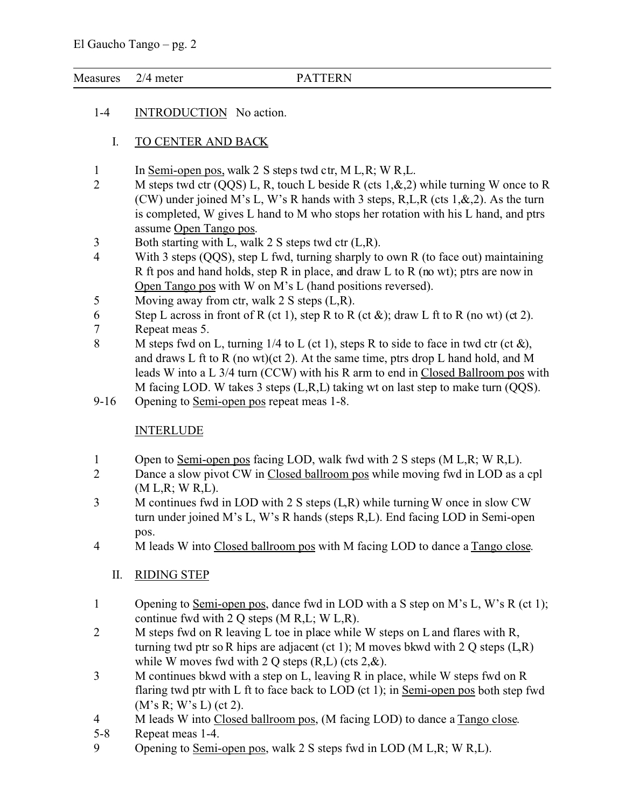#### El Gaucho Tango – pg. 2

Measures 2/4 meter PATTERN

1-4 INTRODUCTION No action.

### I. TO CENTER AND BACK

- 1 In Semi-open pos, walk 2 S steps twd ctr, M L,R; W R,L.
- 2 M steps twd ctr (QQS) L, R, touch L beside R (cts 1, & 2) while turning W once to R (CW) under joined M's L, W's R hands with 3 steps, R,L,R (cts 1,&,2). As the turn is completed, W gives L hand to M who stops her rotation with his L hand, and ptrs assume Open Tango pos.
- 3 Both starting with L, walk 2 S steps twd ctr (L,R).<br>4 With 3 steps (OOS), step L fwd, turning sharply to
- With 3 steps ( $OOS$ ), step L fwd, turning sharply to own R (to face out) maintaining R ft pos and hand holds, step R in place, and draw L to R (no wt); ptrs are now in Open Tango pos with W on M's L (hand positions reversed).
- 5 Moving away from ctr, walk 2 S steps (L,R).
- 6 Step L across in front of R (ct 1), step R to R (ct  $\&$ ); draw L ft to R (no wt) (ct 2).
- 7 Repeat meas 5.
- 8 M steps fwd on L, turning  $1/4$  to L (ct 1), steps R to side to face in twd ctr (ct  $\&$ ), and draws L ft to R (no wt)(ct 2). At the same time, ptrs drop L hand hold, and M leads W into a L 3/4 turn (CCW) with his R arm to end in Closed Ballroom pos with M facing LOD. W takes 3 steps (L,R,L) taking wt on last step to make turn (QQS).
- 9-16 Opening to Semi-open pos repeat meas 1-8.

## **INTERLUDE**

- 1 Open to <u>Semi-open pos</u> facing LOD, walk fwd with 2 S steps (M L,R; W R,L).<br>2 Dance a slow pivot CW in Closed ballroom pos while moving fwd in LOD as a
- Dance a slow pivot CW in Closed ballroom pos while moving fwd in LOD as a cpl (M L,R; W R,L).
- 3 M continues fwd in LOD with 2 S steps (L,R) while turning W once in slow CW turn under joined M's L, W's R hands (steps R,L). End facing LOD in Semi-open pos.
- 4 M leads W into Closed ballroom pos with M facing LOD to dance a Tango close.
	- II. RIDING STEP
- 1 Opening to Semi-open pos, dance fwd in LOD with a S step on M's L, W's R (ct 1); continue fwd with 2 Q steps (M R,L; W L,R).
- 2 M steps fwd on R leaving L toe in place while W steps on L and flares with R, turning twd ptr so R hips are adjacent (ct 1); M moves bkwd with 2 Q steps  $(L, R)$ while W moves fwd with 2 Q steps  $(R,L)$  (cts  $2,\&$ ).
- 3 M continues bkwd with a step on L, leaving R in place, while W steps fwd on R flaring twd ptr with L ft to face back to LOD (ct 1); in Semi-open pos both step fwd (M's R; W's L) (ct 2).
- 4 M leads W into Closed ballroom pos, (M facing LOD) to dance a Tango close.
- 5-8 Repeat meas 1-4.
- 9 Opening to Semi-open pos, walk 2 S steps fwd in LOD (M L,R; W R,L).